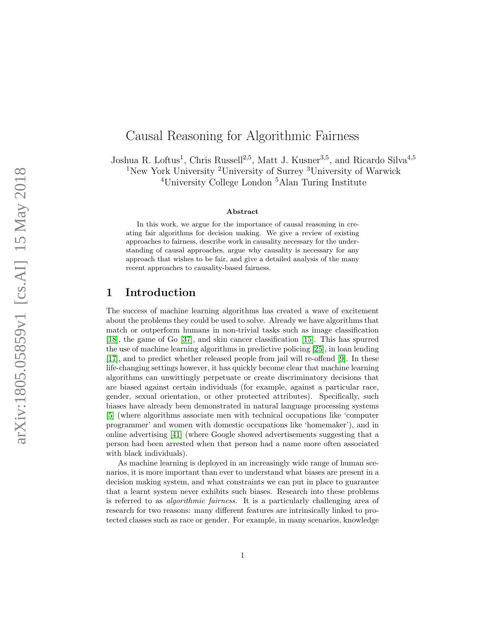# Causal Reasoning for Algorithmic Fairness

Joshua R. Loftus<sup>1</sup>, Chris Russell<sup>2,5</sup>, Matt J. Kusner<sup>3,5</sup>, and Ricardo Silva<sup>4,5</sup> <sup>1</sup>New York University <sup>2</sup>University of Surrey <sup>3</sup>University of Warwick

<sup>4</sup>University College London <sup>5</sup>Alan Turing Institute

#### Abstract

In this work, we argue for the importance of causal reasoning in creating fair algorithms for decision making. We give a review of existing approaches to fairness, describe work in causality necessary for the understanding of causal approaches, argue why causality is necessary for any approach that wishes to be fair, and give a detailed analysis of the many recent approaches to causality-based fairness.

# 1 Introduction

The success of machine learning algorithms has created a wave of excitement about the problems they could be used to solve. Already we have algorithms that match or outperform humans in non-trivial tasks such as image classification [\[18\]](#page-18-0), the game of Go [\[37\]](#page-20-0), and skin cancer classification [\[15\]](#page-18-1). This has spurred the use of machine learning algorithms in predictive policing [\[25\]](#page-19-0), in loan lending [\[17\]](#page-18-2), and to predict whether released people from jail will re-offend [\[9\]](#page-18-3). In these life-changing settings however, it has quickly become clear that machine learning algorithms can unwittingly perpetuate or create discriminatory decisions that are biased against certain individuals (for example, against a particular race, gender, sexual orientation, or other protected attributes). Specifically, such biases have already been demonstrated in natural language processing systems [\[5\]](#page-17-0) (where algorithms associate men with technical occupations like 'computer programmer' and women with domestic occupations like 'homemaker'), and in online advertising [\[41\]](#page-20-1) (where Google showed advertisements suggesting that a person had been arrested when that person had a name more often associated with black individuals).

As machine learning is deployed in an increasingly wide range of human scenarios, it is more important than ever to understand what biases are present in a decision making system, and what constraints we can put in place to guarantee that a learnt system never exhibits such biases. Research into these problems is referred to as algorithmic fairness. It is a particularly challenging area of research for two reasons: many different features are intrinsically linked to protected classes such as race or gender. For example, in many scenarios, knowledge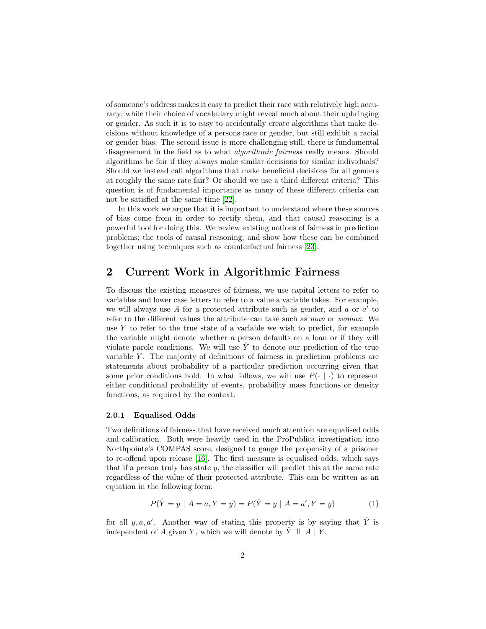of someone's address makes it easy to predict their race with relatively high accuracy; while their choice of vocabulary might reveal much about their upbringing or gender. As such it is to easy to accidentally create algorithms that make decisions without knowledge of a persons race or gender, but still exhibit a racial or gender bias. The second issue is more challenging still, there is fundamental disagreement in the field as to what algorithmic fairness really means. Should algorithms be fair if they always make similar decisions for similar individuals? Should we instead call algorithms that make beneficial decisions for all genders at roughly the same rate fair? Or should we use a third different criteria? This question is of fundamental importance as many of these different criteria can not be satisfied at the same time [\[22\]](#page-19-1).

In this work we argue that it is important to understand where these sources of bias come from in order to rectify them, and that causal reasoning is a powerful tool for doing this. We review existing notions of fairness in prediction problems; the tools of causal reasoning; and show how these can be combined together using techniques such as counterfactual fairness [\[23\]](#page-19-2).

# <span id="page-1-0"></span>2 Current Work in Algorithmic Fairness

To discuss the existing measures of fairness, we use capital letters to refer to variables and lower case letters to refer to a value a variable takes. For example, we will always use A for a protected attribute such as gender, and  $a$  or  $a'$  to refer to the different values the attribute can take such as man or woman. We use  $Y$  to refer to the true state of a variable we wish to predict, for example the variable might denote whether a person defaults on a loan or if they will violate parole conditions. We will use  $\hat{Y}$  to denote our prediction of the true variable  $Y$ . The majority of definitions of fairness in prediction problems are statements about probability of a particular prediction occurring given that some prior conditions hold. In what follows, we will use  $P(\cdot | \cdot)$  to represent either conditional probability of events, probability mass functions or density functions, as required by the context.

### 2.0.1 Equalised Odds

Two definitions of fairness that have received much attention are equalised odds and calibration. Both were heavily used in the ProPublica investigation into Northpointe's COMPAS score, designed to gauge the propensity of a prisoner to re-offend upon release [\[16\]](#page-18-4). The first measure is equalised odds, which says that if a person truly has state  $y$ , the classifier will predict this at the same rate regardless of the value of their protected attribute. This can be written as an equation in the following form:

<span id="page-1-1"></span>
$$
P(\hat{Y} = y \mid A = a, Y = y) = P(\hat{Y} = y \mid A = a', Y = y)
$$
\n(1)

for all  $y, a, a'$ . Another way of stating this property is by saying that  $\hat{Y}$  is independent of A given Y, which we will denote by  $\hat{Y} \perp A \mid Y$ .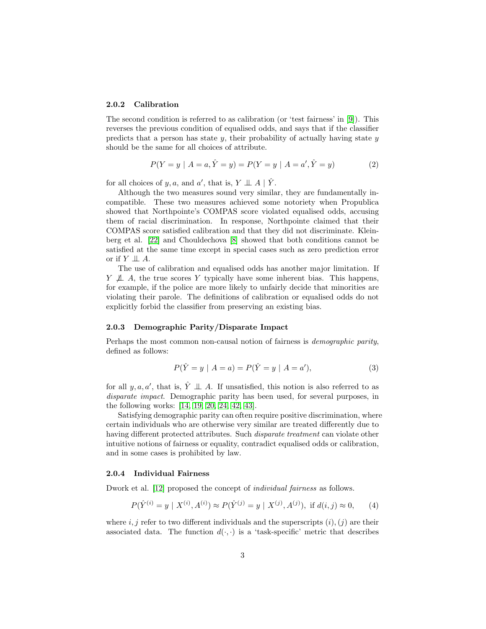#### 2.0.2 Calibration

The second condition is referred to as calibration (or 'test fairness' in [\[9\]](#page-18-3)). This reverses the previous condition of equalised odds, and says that if the classifier predicts that a person has state  $y$ , their probability of actually having state  $y$ should be the same for all choices of attribute.

<span id="page-2-2"></span>
$$
P(Y = y | A = a, \hat{Y} = y) = P(Y = y | A = a', \hat{Y} = y)
$$
\n(2)

for all choices of y, a, and a', that is,  $Y \perp \!\!\!\perp A \mid \hat{Y}$ .

Although the two measures sound very similar, they are fundamentally incompatible. These two measures achieved some notoriety when Propublica showed that Northpointe's COMPAS score violated equalised odds, accusing them of racial discrimination. In response, Northpointe claimed that their COMPAS score satisfied calibration and that they did not discriminate. Kleinberg et al. [\[22\]](#page-19-1) and Chouldechova [\[8\]](#page-18-5) showed that both conditions cannot be satisfied at the same time except in special cases such as zero prediction error or if  $Y \perp \!\!\! \perp A$ .

The use of calibration and equalised odds has another major limitation. If  $Y \nperp \!\!\!\perp A$ , the true scores Y typically have some inherent bias. This happens, for example, if the police are more likely to unfairly decide that minorities are violating their parole. The definitions of calibration or equalised odds do not explicitly forbid the classifier from preserving an existing bias.

#### 2.0.3 Demographic Parity/Disparate Impact

Perhaps the most common non-causal notion of fairness is demographic parity, defined as follows:

<span id="page-2-1"></span><span id="page-2-0"></span>
$$
P(\hat{Y} = y \mid A = a) = P(\hat{Y} = y \mid A = a'),
$$
\n(3)

for all  $y, a, a'$ , that is,  $\hat{Y} \perp \!\!\!\perp A$ . If unsatisfied, this notion is also referred to as disparate impact. Demographic parity has been used, for several purposes, in the following works: [\[14,](#page-18-6) [19,](#page-18-7) [20,](#page-19-3) [24,](#page-19-4) [42,](#page-20-2) [43\]](#page-20-3).

Satisfying demographic parity can often require positive discrimination, where certain individuals who are otherwise very similar are treated differently due to having different protected attributes. Such disparate treatment can violate other intuitive notions of fairness or equality, contradict equalised odds or calibration, and in some cases is prohibited by law.

#### 2.0.4 Individual Fairness

Dwork et al. [\[12\]](#page-18-8) proposed the concept of individual fairness as follows.

$$
P(\hat{Y}^{(i)} = y \mid X^{(i)}, A^{(i)}) \approx P(\hat{Y}^{(j)} = y \mid X^{(j)}, A^{(j)}), \text{ if } d(i, j) \approx 0,
$$
 (4)

where i, j refer to two different individuals and the superscripts  $(i)$ ,  $(i)$  are their associated data. The function  $d(\cdot, \cdot)$  is a 'task-specific' metric that describes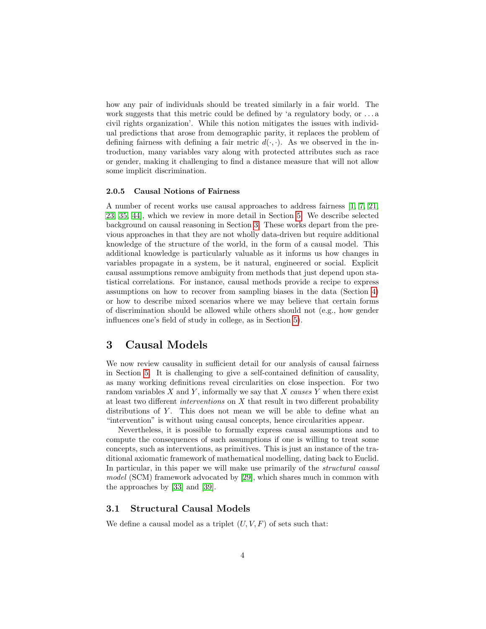how any pair of individuals should be treated similarly in a fair world. The work suggests that this metric could be defined by 'a regulatory body, or . . . a civil rights organization'. While this notion mitigates the issues with individual predictions that arose from demographic parity, it replaces the problem of defining fairness with defining a fair metric  $d(\cdot, \cdot)$ . As we observed in the introduction, many variables vary along with protected attributes such as race or gender, making it challenging to find a distance measure that will not allow some implicit discrimination.

### 2.0.5 Causal Notions of Fairness

A number of recent works use causal approaches to address fairness [\[1,](#page-17-1) [7,](#page-18-9) [21,](#page-19-5) [23,](#page-19-2) [35,](#page-20-4) [44\]](#page-20-5), which we review in more detail in Section [5.](#page-9-0) We describe selected background on causal reasoning in Section [3.](#page-3-0) These works depart from the previous approaches in that they are not wholly data-driven but require additional knowledge of the structure of the world, in the form of a causal model. This additional knowledge is particularly valuable as it informs us how changes in variables propagate in a system, be it natural, engineered or social. Explicit causal assumptions remove ambiguity from methods that just depend upon statistical correlations. For instance, causal methods provide a recipe to express assumptions on how to recover from sampling biases in the data (Section [4\)](#page-6-0) or how to describe mixed scenarios where we may believe that certain forms of discrimination should be allowed while others should not (e.g., how gender influences one's field of study in college, as in Section [5\)](#page-9-0).

# <span id="page-3-0"></span>3 Causal Models

We now review causality in sufficient detail for our analysis of causal fairness in Section [5.](#page-9-0) It is challenging to give a self-contained definition of causality, as many working definitions reveal circularities on close inspection. For two random variables  $X$  and  $Y$ , informally we say that  $X$  causes  $Y$  when there exist at least two different *interventions* on  $X$  that result in two different probability distributions of  $Y$ . This does not mean we will be able to define what an "intervention" is without using causal concepts, hence circularities appear.

Nevertheless, it is possible to formally express causal assumptions and to compute the consequences of such assumptions if one is willing to treat some concepts, such as interventions, as primitives. This is just an instance of the traditional axiomatic framework of mathematical modelling, dating back to Euclid. In particular, in this paper we will make use primarily of the structural causal model (SCM) framework advocated by [\[29\]](#page-19-6), which shares much in common with the approaches by [\[33\]](#page-19-7) and [\[39\]](#page-20-6).

## 3.1 Structural Causal Models

We define a causal model as a triplet  $(U, V, F)$  of sets such that: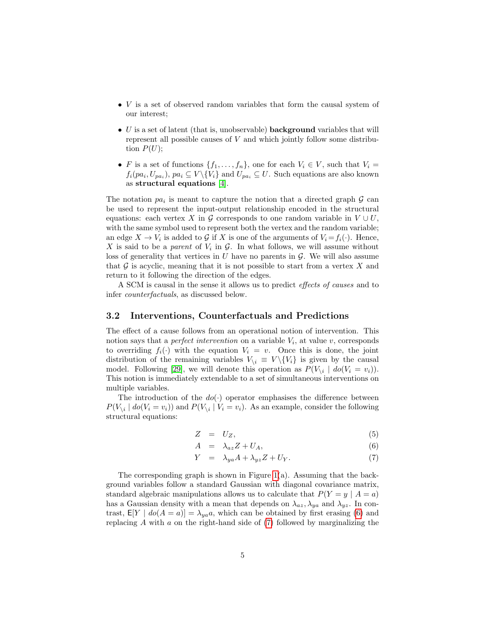- V is a set of observed random variables that form the causal system of our interest;
- $\bullet$  U is a set of latent (that is, unobservable) **background** variables that will represent all possible causes of  $V$  and which jointly follow some distribution  $P(U)$ ;
- F is a set of functions  $\{f_1, \ldots, f_n\}$ , one for each  $V_i \in V$ , such that  $V_i =$  $f_i(pa_i, U_{pa_i}),$   $pa_i \subseteq V \setminus \{V_i\}$  and  $U_{pa_i} \subseteq U$ . Such equations are also known as structural equations [\[4\]](#page-17-2).

The notation  $pa_i$  is meant to capture the notion that a directed graph  $G$  can be used to represent the input-output relationship encoded in the structural equations: each vertex X in G corresponds to one random variable in  $V \cup U$ , with the same symbol used to represent both the vertex and the random variable; an edge  $X \to V_i$  is added to G if X is one of the arguments of  $V_i = f_i(\cdot)$ . Hence, X is said to be a *parent* of  $V_i$  in  $\mathcal{G}$ . In what follows, we will assume without loss of generality that vertices in  $U$  have no parents in  $\mathcal G$ . We will also assume that  $G$  is acyclic, meaning that it is not possible to start from a vertex  $X$  and return to it following the direction of the edges.

A SCM is causal in the sense it allows us to predict effects of causes and to infer counterfactuals, as discussed below.

### 3.2 Interventions, Counterfactuals and Predictions

The effect of a cause follows from an operational notion of intervention. This notion says that a *perfect intervention* on a variable  $V_i$ , at value v, corresponds to overriding  $f_i(\cdot)$  with the equation  $V_i = v$ . Once this is done, the joint distribution of the remaining variables  $V_{\setminus i} \equiv V \setminus \{V_i\}$  is given by the causal model. Following [\[29\]](#page-19-6), we will denote this operation as  $P(V_{\backslash i} \mid \text{do}(V_i = v_i)).$ This notion is immediately extendable to a set of simultaneous interventions on multiple variables.

The introduction of the  $do(\cdot)$  operator emphasises the difference between  $P(V_{\backslash i} | do(V_i = v_i))$  and  $P(V_{\backslash i} | V_i = v_i)$ . As an example, consider the following structural equations:

<span id="page-4-0"></span>
$$
Z = U_Z, \t\t(5)
$$

$$
A = \lambda_{az} Z + U_A, \tag{6}
$$

$$
Y = \lambda_{ya} A + \lambda_{yz} Z + U_Y. \tag{7}
$$

The corresponding graph is shown in Figure  $1(a)$ . Assuming that the background variables follow a standard Gaussian with diagonal covariance matrix, standard algebraic manipulations allows us to calculate that  $P(Y = y \mid A = a)$ has a Gaussian density with a mean that depends on  $\lambda_{az}, \lambda_{ya}$  and  $\lambda_{yz}$ . In contrast,  $E[Y \mid do(A = a)] = \lambda_{ya}a$ , which can be obtained by first erasing [\(6\)](#page-4-0) and replacing  $A$  with  $a$  on the right-hand side of  $(7)$  followed by marginalizing the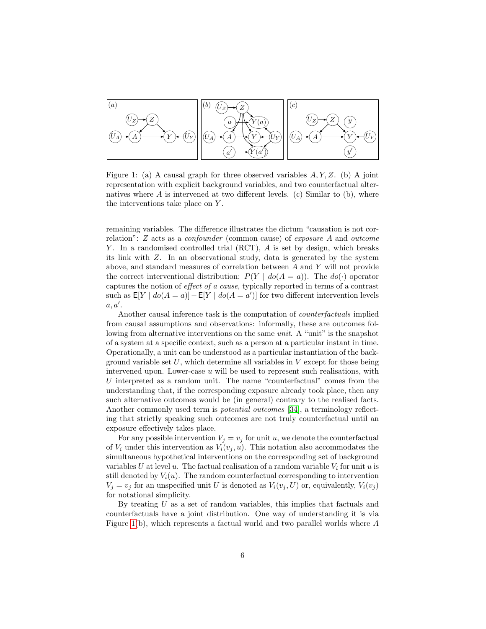

<span id="page-5-0"></span>Figure 1: (a) A causal graph for three observed variables  $A, Y, Z$ . (b) A joint representation with explicit background variables, and two counterfactual alternatives where  $A$  is intervened at two different levels. (c) Similar to (b), where the interventions take place on Y .

remaining variables. The difference illustrates the dictum "causation is not correlation": Z acts as a confounder (common cause) of exposure A and outcome  $Y$ . In a randomised controlled trial (RCT),  $A$  is set by design, which breaks its link with Z. In an observational study, data is generated by the system above, and standard measures of correlation between A and Y will not provide the correct interventional distribution:  $P(Y | do(A = a))$ . The  $do(\cdot)$  operator captures the notion of effect of a cause, typically reported in terms of a contrast such as  $E[Y \mid do(A = a)] - E[Y \mid do(A = a')]$  for two different intervention levels  $a, a'$ .

Another causal inference task is the computation of counterfactuals implied from causal assumptions and observations: informally, these are outcomes following from alternative interventions on the same unit. A "unit" is the snapshot of a system at a specific context, such as a person at a particular instant in time. Operationally, a unit can be understood as a particular instantiation of the background variable set  $U$ , which determine all variables in  $V$  except for those being intervened upon. Lower-case  $u$  will be used to represent such realisations, with U interpreted as a random unit. The name "counterfactual" comes from the understanding that, if the corresponding exposure already took place, then any such alternative outcomes would be (in general) contrary to the realised facts. Another commonly used term is potential outcomes [\[34\]](#page-20-7), a terminology reflecting that strictly speaking such outcomes are not truly counterfactual until an exposure effectively takes place.

For any possible intervention  $V_j = v_j$  for unit u, we denote the counterfactual of  $V_i$  under this intervention as  $V_i(v_j, u)$ . This notation also accommodates the simultaneous hypothetical interventions on the corresponding set of background variables U at level u. The factual realisation of a random variable  $V_i$  for unit u is still denoted by  $V_i(u)$ . The random counterfactual corresponding to intervention  $V_j = v_j$  for an unspecified unit U is denoted as  $V_i(v_j, U)$  or, equivalently,  $V_i(v_j)$ for notational simplicity.

By treating  $U$  as a set of random variables, this implies that factuals and counterfactuals have a joint distribution. One way of understanding it is via Figure [1\(](#page-5-0)b), which represents a factual world and two parallel worlds where A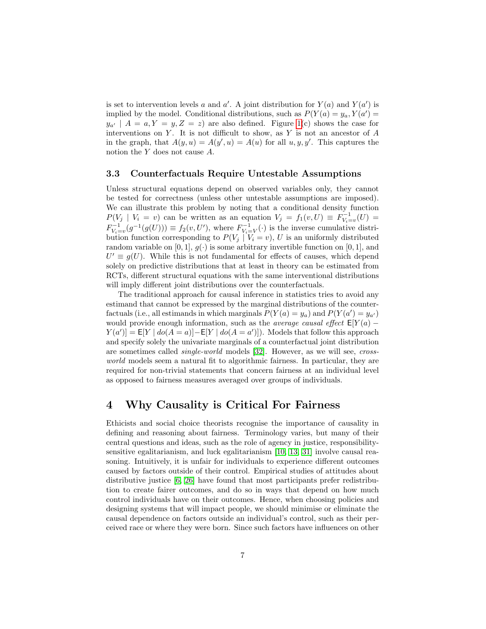is set to intervention levels a and  $a'$ . A joint distribution for  $Y(a)$  and  $Y(a')$  is implied by the model. Conditional distributions, such as  $P(Y(a) = y_a, Y(a'))$  $y_{a'}$  |  $A = a, Y = y, Z = z$ ) are also defined. Figure [1\(](#page-5-0)c) shows the case for interventions on  $Y$ . It is not difficult to show, as  $Y$  is not an ancestor of  $A$ in the graph, that  $A(y, u) = A(y', u) = A(u)$  for all  $u, y, y'$ . This captures the notion the Y does not cause A.

### <span id="page-6-1"></span>3.3 Counterfactuals Require Untestable Assumptions

Unless structural equations depend on observed variables only, they cannot be tested for correctness (unless other untestable assumptions are imposed). We can illustrate this problem by noting that a conditional density function  $P(V_j | V_i = v)$  can be written as an equation  $V_j = f_1(v, U) \equiv F_{V_i=v}^{-1}(U) =$  $F_{V_i=v}^{-1}(g^{-1}(g(U))) \equiv f_2(v, U'),$  where  $F_{V_i=V}^{-1}(\cdot)$  is the inverse cumulative distribution function corresponding to  $P(V_j | V_i = v)$ , U is an uniformly distributed random variable on  $[0, 1]$ ,  $g(\cdot)$  is some arbitrary invertible function on  $[0, 1]$ , and  $U' \equiv g(U)$ . While this is not fundamental for effects of causes, which depend solely on predictive distributions that at least in theory can be estimated from RCTs, different structural equations with the same interventional distributions will imply different joint distributions over the counterfactuals.

The traditional approach for causal inference in statistics tries to avoid any estimand that cannot be expressed by the marginal distributions of the counterfactuals (i.e., all estimands in which marginals  $P(Y(a) = y_a)$  and  $P(Y(a') = y_{a'})$ would provide enough information, such as the *average causal effect*  $E[Y(a)$  −  $Y(a')$  =  $E[Y | do(A = a)] - E[Y | do(A = a')]$ . Models that follow this approach and specify solely the univariate marginals of a counterfactual joint distribution are sometimes called single-world models [\[32\]](#page-19-8). However, as we will see, crossworld models seem a natural fit to algorithmic fairness. In particular, they are required for non-trivial statements that concern fairness at an individual level as opposed to fairness measures averaged over groups of individuals.

## <span id="page-6-0"></span>4 Why Causality is Critical For Fairness

Ethicists and social choice theorists recognise the importance of causality in defining and reasoning about fairness. Terminology varies, but many of their central questions and ideas, such as the role of agency in justice, responsibilitysensitive egalitarianism, and luck egalitarianism [\[10,](#page-18-10) [13,](#page-18-11) [31\]](#page-19-9) involve causal reasoning. Intuitively, it is unfair for individuals to experience different outcomes caused by factors outside of their control. Empirical studies of attitudes about distributive justice [\[6,](#page-17-3) [26\]](#page-19-10) have found that most participants prefer redistribution to create fairer outcomes, and do so in ways that depend on how much control individuals have on their outcomes. Hence, when choosing policies and designing systems that will impact people, we should minimise or eliminate the causal dependence on factors outside an individual's control, such as their perceived race or where they were born. Since such factors have influences on other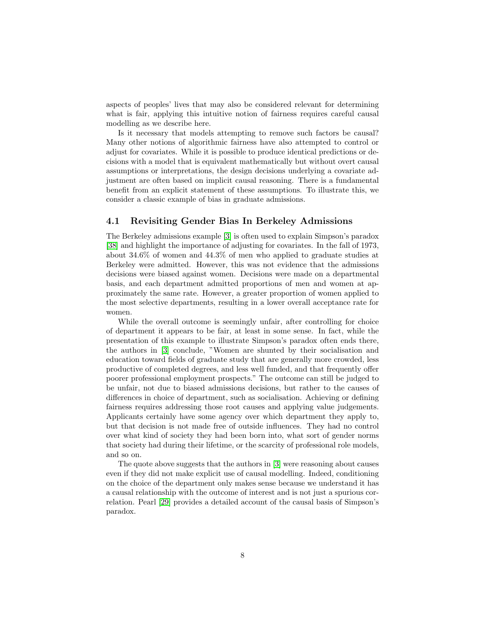aspects of peoples' lives that may also be considered relevant for determining what is fair, applying this intuitive notion of fairness requires careful causal modelling as we describe here.

Is it necessary that models attempting to remove such factors be causal? Many other notions of algorithmic fairness have also attempted to control or adjust for covariates. While it is possible to produce identical predictions or decisions with a model that is equivalent mathematically but without overt causal assumptions or interpretations, the design decisions underlying a covariate adjustment are often based on implicit causal reasoning. There is a fundamental benefit from an explicit statement of these assumptions. To illustrate this, we consider a classic example of bias in graduate admissions.

### 4.1 Revisiting Gender Bias In Berkeley Admissions

The Berkeley admissions example [\[3\]](#page-17-4) is often used to explain Simpson's paradox [\[38\]](#page-20-8) and highlight the importance of adjusting for covariates. In the fall of 1973, about 34.6% of women and 44.3% of men who applied to graduate studies at Berkeley were admitted. However, this was not evidence that the admissions decisions were biased against women. Decisions were made on a departmental basis, and each department admitted proportions of men and women at approximately the same rate. However, a greater proportion of women applied to the most selective departments, resulting in a lower overall acceptance rate for women.

While the overall outcome is seemingly unfair, after controlling for choice of department it appears to be fair, at least in some sense. In fact, while the presentation of this example to illustrate Simpson's paradox often ends there, the authors in [\[3\]](#page-17-4) conclude, "Women are shunted by their socialisation and education toward fields of graduate study that are generally more crowded, less productive of completed degrees, and less well funded, and that frequently offer poorer professional employment prospects." The outcome can still be judged to be unfair, not due to biased admissions decisions, but rather to the causes of differences in choice of department, such as socialisation. Achieving or defining fairness requires addressing those root causes and applying value judgements. Applicants certainly have some agency over which department they apply to, but that decision is not made free of outside influences. They had no control over what kind of society they had been born into, what sort of gender norms that society had during their lifetime, or the scarcity of professional role models, and so on.

The quote above suggests that the authors in [\[3\]](#page-17-4) were reasoning about causes even if they did not make explicit use of causal modelling. Indeed, conditioning on the choice of the department only makes sense because we understand it has a causal relationship with the outcome of interest and is not just a spurious correlation. Pearl [\[29\]](#page-19-6) provides a detailed account of the causal basis of Simpson's paradox.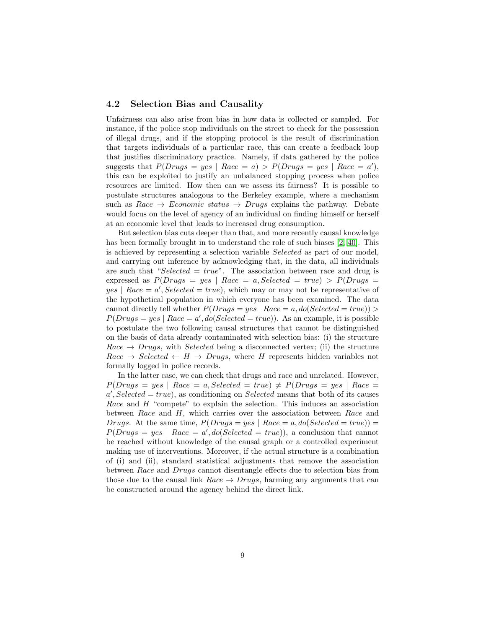### 4.2 Selection Bias and Causality

Unfairness can also arise from bias in how data is collected or sampled. For instance, if the police stop individuals on the street to check for the possession of illegal drugs, and if the stopping protocol is the result of discrimination that targets individuals of a particular race, this can create a feedback loop that justifies discriminatory practice. Namely, if data gathered by the police suggests that  $P(Drugs = yes \mid Race = a) > P(Drugs = yes \mid Race = a'),$ this can be exploited to justify an unbalanced stopping process when police resources are limited. How then can we assess its fairness? It is possible to postulate structures analogous to the Berkeley example, where a mechanism such as  $Race \rightarrow Economic status \rightarrow Drugs$  explains the pathway. Debate would focus on the level of agency of an individual on finding himself or herself at an economic level that leads to increased drug consumption.

But selection bias cuts deeper than that, and more recently causal knowledge has been formally brought in to understand the role of such biases [\[2,](#page-17-5) [40\]](#page-20-9). This is achieved by representing a selection variable Selected as part of our model, and carrying out inference by acknowledging that, in the data, all individuals are such that "Selected =  $true$ ". The association between race and drug is expressed as  $P(Drugs = yes \mid Race = a, Selected = true) > P(Drugs =$  $yes \mid Race = a', Selected = true),$  which may or may not be representative of the hypothetical population in which everyone has been examined. The data cannot directly tell whether  $P(Drugs = yes \mid Race = a, do(Selected = true)) >$  $P(Drugs = yes \mid Race = a', do(Selected = true)).$  As an example, it is possible to postulate the two following causal structures that cannot be distinguished on the basis of data already contaminated with selection bias: (i) the structure  $Race \rightarrow Drugs$ , with *Selected* being a disconnected vertex; (ii) the structure  $Race \rightarrow Selected \leftarrow H \rightarrow Drugs$ , where H represents hidden variables not formally logged in police records.

In the latter case, we can check that drugs and race and unrelated. However,  $P(Drugs = yes \mid Race = a, Selected = true) \neq P(Drugs = yes \mid Race =$  $a'$ , Selected = true), as conditioning on Selected means that both of its causes Race and H "compete" to explain the selection. This induces an association between Race and  $H$ , which carries over the association between Race and Drugs. At the same time,  $P(Drugs = yes \mid Race = a, do(Selected = true))$  $P(Drugs = yes \mid Race = a', do(Selected = true)),$  a conclusion that cannot be reached without knowledge of the causal graph or a controlled experiment making use of interventions. Moreover, if the actual structure is a combination of (i) and (ii), standard statistical adjustments that remove the association between Race and Drugs cannot disentangle effects due to selection bias from those due to the causal link Race  $\rightarrow Drugs$ , harming any arguments that can be constructed around the agency behind the direct link.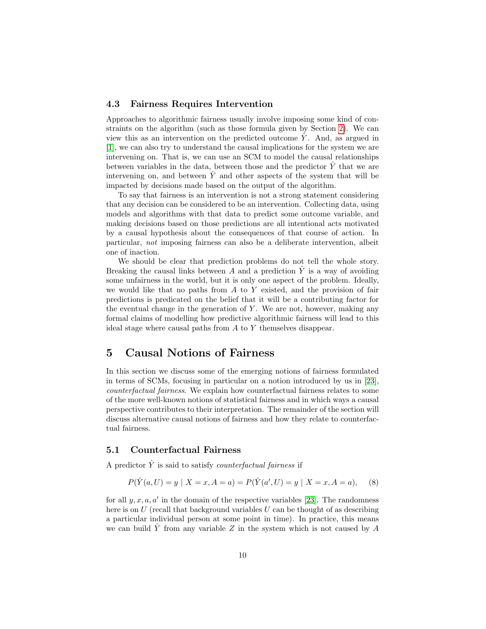### 4.3 Fairness Requires Intervention

Approaches to algorithmic fairness usually involve imposing some kind of constraints on the algorithm (such as those formula given by Section [2\)](#page-1-0). We can view this as an intervention on the predicted outcome  $\tilde{Y}$ . And, as argued in [\[1\]](#page-17-1), we can also try to understand the causal implications for the system we are intervening on. That is, we can use an SCM to model the causal relationships between variables in the data, between those and the predictor  $\hat{Y}$  that we are intervening on, and between  $\hat{Y}$  and other aspects of the system that will be impacted by decisions made based on the output of the algorithm.

To say that fairness is an intervention is not a strong statement considering that any decision can be considered to be an intervention. Collecting data, using models and algorithms with that data to predict some outcome variable, and making decisions based on those predictions are all intentional acts motivated by a causal hypothesis about the consequences of that course of action. In particular, not imposing fairness can also be a deliberate intervention, albeit one of inaction.

We should be clear that prediction problems do not tell the whole story. Breaking the causal links between A and a prediction  $\hat{Y}$  is a way of avoiding some unfairness in the world, but it is only one aspect of the problem. Ideally, we would like that no paths from  $A$  to  $Y$  existed, and the provision of fair predictions is predicated on the belief that it will be a contributing factor for the eventual change in the generation of  $Y$ . We are not, however, making any formal claims of modelling how predictive algorithmic fairness will lead to this ideal stage where causal paths from A to Y themselves disappear.

## <span id="page-9-0"></span>5 Causal Notions of Fairness

In this section we discuss some of the emerging notions of fairness formulated in terms of SCMs, focusing in particular on a notion introduced by us in [\[23\]](#page-19-2), counterfactual fairness. We explain how counterfactual fairness relates to some of the more well-known notions of statistical fairness and in which ways a causal perspective contributes to their interpretation. The remainder of the section will discuss alternative causal notions of fairness and how they relate to counterfactual fairness.

## 5.1 Counterfactual Fairness

A predictor  $\hat{Y}$  is said to satisfy *counterfactual fairness* if

<span id="page-9-1"></span>
$$
P(\hat{Y}(a, U) = y \mid X = x, A = a) = P(\hat{Y}(a', U) = y \mid X = x, A = a),
$$
 (8)

for all  $y, x, a, a'$  in the domain of the respective variables [\[23\]](#page-19-2). The randomness here is on  $U$  (recall that background variables  $U$  can be thought of as describing a particular individual person at some point in time). In practice, this means we can build  $Y$  from any variable  $Z$  in the system which is not caused by  $A$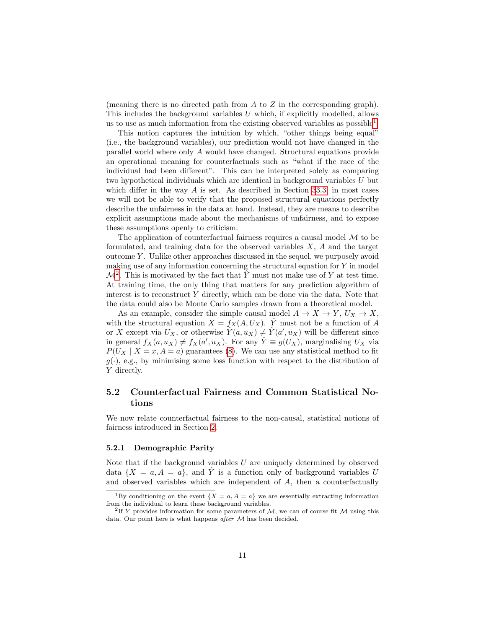(meaning there is no directed path from  $A$  to  $Z$  in the corresponding graph). This includes the background variables  $U$  which, if explicitly modelled, allows us to use as much information from the existing observed variables as  $possible<sup>1</sup>$  $possible<sup>1</sup>$  $possible<sup>1</sup>$ .

This notion captures the intuition by which, "other things being equal" (i.e., the background variables), our prediction would not have changed in the parallel world where only A would have changed. Structural equations provide an operational meaning for counterfactuals such as "what if the race of the individual had been different". This can be interpreted solely as comparing two hypothetical individuals which are identical in background variables U but which differ in the way  $A$  is set. As described in Section [3](#page-3-0)[3.3,](#page-6-1) in most cases we will not be able to verify that the proposed structural equations perfectly describe the unfairness in the data at hand. Instead, they are means to describe explicit assumptions made about the mechanisms of unfairness, and to expose these assumptions openly to criticism.

The application of counterfactual fairness requires a causal model  $M$  to be formulated, and training data for the observed variables  $X$ ,  $\hat{A}$  and the target outcome  $Y$ . Unlike other approaches discussed in the sequel, we purposely avoid making use of any information concerning the structural equation for  $Y$  in model  $\mathcal{M}^2$  $\mathcal{M}^2$ . This is motivated by the fact that  $\hat{Y}$  must not make use of Y at test time. At training time, the only thing that matters for any prediction algorithm of interest is to reconstruct  $Y$  directly, which can be done via the data. Note that the data could also be Monte Carlo samples drawn from a theoretical model.

As an example, consider the simple causal model  $A \to X \to Y$ ,  $U_X \to X$ , with the structural equation  $X = f_X(A, U_X)$ .  $\hat{Y}$  must not be a function of A or X except via  $U_X$ , or otherwise  $\hat{Y}(a, u_X) \neq \hat{Y}(a', u_X)$  will be different since in general  $f_X(a, u_X) \neq f_X(a', u_X)$ . For any  $\hat{Y} \equiv g(U_X)$ , marginalising  $U_X$  via  $P(U_X \mid X = x, A = a)$  guarantees [\(8\)](#page-9-1). We can use any statistical method to fit  $g(\cdot)$ , e.g., by minimising some loss function with respect to the distribution of Y directly.

## 5.2 Counterfactual Fairness and Common Statistical Notions

We now relate counterfactual fairness to the non-causal, statistical notions of fairness introduced in Section [2.](#page-1-0)

#### 5.2.1 Demographic Parity

Note that if the background variables  $U$  are uniquely determined by observed data  $\{X = a, A = a\}$ , and  $\hat{Y}$  is a function only of background variables U and observed variables which are independent of A, then a counterfactually

<span id="page-10-0"></span><sup>&</sup>lt;sup>1</sup>By conditioning on the event  $\{X = a, A = a\}$  we are essentially extracting information from the individual to learn these background variables.

<span id="page-10-1"></span><sup>&</sup>lt;sup>2</sup>If Y provides information for some parameters of  $M$ , we can of course fit M using this data. Our point here is what happens after M has been decided.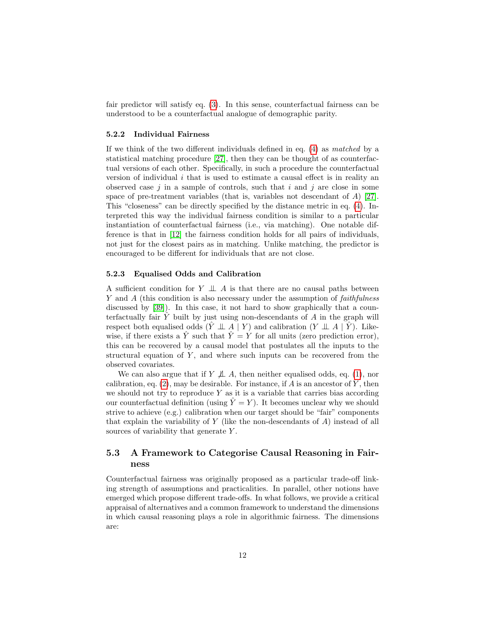fair predictor will satisfy eq. [\(3\)](#page-2-0). In this sense, counterfactual fairness can be understood to be a counterfactual analogue of demographic parity.

#### 5.2.2 Individual Fairness

If we think of the two different individuals defined in eq. [\(4\)](#page-2-1) as matched by a statistical matching procedure [\[27\]](#page-19-11), then they can be thought of as counterfactual versions of each other. Specifically, in such a procedure the counterfactual version of individual  $i$  that is used to estimate a causal effect is in reality an observed case  $j$  in a sample of controls, such that  $i$  and  $j$  are close in some space of pre-treatment variables (that is, variables not descendant of  $A$ ) [\[27\]](#page-19-11). This "closeness" can be directly specified by the distance metric in eq. [\(4\)](#page-2-1). Interpreted this way the individual fairness condition is similar to a particular instantiation of counterfactual fairness (i.e., via matching). One notable difference is that in [\[12\]](#page-18-8) the fairness condition holds for all pairs of individuals, not just for the closest pairs as in matching. Unlike matching, the predictor is encouraged to be different for individuals that are not close.

#### 5.2.3 Equalised Odds and Calibration

A sufficient condition for  $Y \perp \!\!\!\perp A$  is that there are no causal paths between Y and A (this condition is also necessary under the assumption of *faithfulness* discussed by [\[39\]](#page-20-6)). In this case, it not hard to show graphically that a counterfactually fair  $\hat{Y}$  built by just using non-descendants of  $\hat{A}$  in the graph will respect both equalised odds  $(\hat{Y} \perp \perp A \mid Y)$  and calibration  $(Y \perp \perp A \mid \hat{Y})$ . Likewise, if there exists a  $\hat{Y}$  such that  $\hat{Y} = Y$  for all units (zero prediction error), this can be recovered by a causal model that postulates all the inputs to the structural equation of  $Y$ , and where such inputs can be recovered from the observed covariates.

We can also argue that if  $Y \not\perp A$ , then neither equalised odds, eq. [\(1\)](#page-1-1), nor calibration, eq.  $(2)$ , may be desirable. For instance, if A is an ancestor of Y, then we should not try to reproduce  $Y$  as it is a variable that carries bias according our counterfactual definition (using  $\hat{Y} = Y$ ). It becomes unclear why we should strive to achieve (e.g.) calibration when our target should be "fair" components that explain the variability of Y (like the non-descendants of  $A$ ) instead of all sources of variability that generate  $Y$ .

## 5.3 A Framework to Categorise Causal Reasoning in Fairness

Counterfactual fairness was originally proposed as a particular trade-off linking strength of assumptions and practicalities. In parallel, other notions have emerged which propose different trade-offs. In what follows, we provide a critical appraisal of alternatives and a common framework to understand the dimensions in which causal reasoning plays a role in algorithmic fairness. The dimensions are: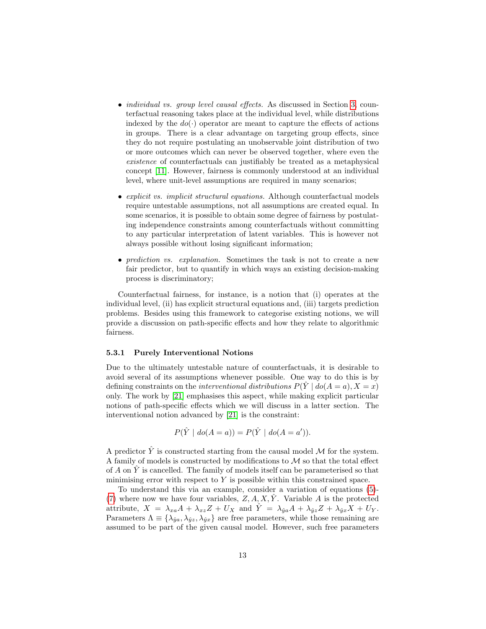- *individual vs. group level causal effects*. As discussed in Section [3,](#page-3-0) counterfactual reasoning takes place at the individual level, while distributions indexed by the  $do(\cdot)$  operator are meant to capture the effects of actions in groups. There is a clear advantage on targeting group effects, since they do not require postulating an unobservable joint distribution of two or more outcomes which can never be observed together, where even the existence of counterfactuals can justifiably be treated as a metaphysical concept [\[11\]](#page-18-12). However, fairness is commonly understood at an individual level, where unit-level assumptions are required in many scenarios;
- explicit vs. implicit structural equations. Although counterfactual models require untestable assumptions, not all assumptions are created equal. In some scenarios, it is possible to obtain some degree of fairness by postulating independence constraints among counterfactuals without committing to any particular interpretation of latent variables. This is however not always possible without losing significant information;
- prediction vs. explanation. Sometimes the task is not to create a new fair predictor, but to quantify in which ways an existing decision-making process is discriminatory;

Counterfactual fairness, for instance, is a notion that (i) operates at the individual level, (ii) has explicit structural equations and, (iii) targets prediction problems. Besides using this framework to categorise existing notions, we will provide a discussion on path-specific effects and how they relate to algorithmic fairness.

#### 5.3.1 Purely Interventional Notions

Due to the ultimately untestable nature of counterfactuals, it is desirable to avoid several of its assumptions whenever possible. One way to do this is by defining constraints on the *interventional distributions*  $P(\hat{Y} | do(A = a), X = x)$ only. The work by [\[21\]](#page-19-5) emphasises this aspect, while making explicit particular notions of path-specific effects which we will discuss in a latter section. The interventional notion advanced by [\[21\]](#page-19-5) is the constraint:

$$
P(\hat{Y} \mid \text{do}(A = a)) = P(\hat{Y} \mid \text{do}(A = a')).
$$

A predictor  $\hat{Y}$  is constructed starting from the causal model M for the system. A family of models is constructed by modifications to  $\mathcal M$  so that the total effect of  $A$  on  $\tilde{Y}$  is cancelled. The family of models itself can be parameterised so that minimising error with respect to  $Y$  is possible within this constrained space.

To understand this via an example, consider a variation of equations [\(5\)](#page-4-0)- [\(7\)](#page-4-0) where now we have four variables,  $Z, A, X, \tilde{Y}$ . Variable A is the protected attribute,  $X = \lambda_{xa}A + \lambda_{xz}Z + U_X$  and  $\hat{Y} = \lambda_{\hat{y}a}A + \lambda_{\hat{y}z}Z + \lambda_{\hat{y}x}X + U_Y$ . Parameters  $\Lambda \equiv {\lambda_{\hat{y}a}, \lambda_{\hat{y}z}, \lambda_{\hat{y}x}}$  are free parameters, while those remaining are assumed to be part of the given causal model. However, such free parameters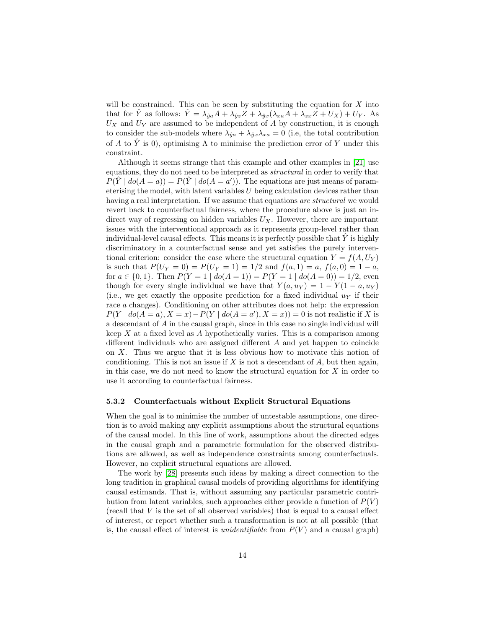will be constrained. This can be seen by substituting the equation for  $X$  into that for  $\hat{Y}$  as follows:  $\hat{Y} = \lambda_{\hat{y}a}A + \lambda_{\hat{y}z}Z + \lambda_{\hat{y}x}(\lambda_{xa}A + \lambda_{zx}Z + U_X) + U_Y$ . As  $U_X$  and  $U_Y$  are assumed to be independent of A by construction, it is enough to consider the sub-models where  $\lambda_{\hat{y}a} + \lambda_{\hat{y}x}\lambda_{xa} = 0$  (i.e, the total contribution of A to  $\hat{Y}$  is 0), optimising  $\Lambda$  to minimise the prediction error of Y under this constraint.

Although it seems strange that this example and other examples in [\[21\]](#page-19-5) use equations, they do not need to be interpreted as structural in order to verify that  $P(\hat{Y} | do(A = a)) = P(\hat{Y} | do(A = a')).$  The equations are just means of parameterising the model, with latent variables U being calculation devices rather than having a real interpretation. If we assume that equations are structural we would revert back to counterfactual fairness, where the procedure above is just an indirect way of regressing on hidden variables  $U_X$ . However, there are important issues with the interventional approach as it represents group-level rather than individual-level causal effects. This means it is perfectly possible that  $Y$  is highly discriminatory in a counterfactual sense and yet satisfies the purely interventional criterion: consider the case where the structural equation  $Y = f(A, U_Y)$ is such that  $P(U_Y = 0) = P(U_Y = 1) = 1/2$  and  $f(a, 1) = a, f(a, 0) = 1 - a$ , for  $a \in \{0, 1\}$ . Then  $P(Y = 1 \mid do(A = 1)) = P(Y = 1 \mid do(A = 0)) = 1/2$ , even though for every single individual we have that  $Y(a, u_Y) = 1 - Y(1 - a, u_Y)$ (i.e., we get exactly the opposite prediction for a fixed individual  $u<sub>Y</sub>$  if their race a changes). Conditioning on other attributes does not help: the expression  $P(Y | do(A = a), X = x) - P(Y | do(A = a'), X = x)) = 0$  is not realistic if X is a descendant of A in the causal graph, since in this case no single individual will keep  $X$  at a fixed level as  $A$  hypothetically varies. This is a comparison among different individuals who are assigned different A and yet happen to coincide on  $X$ . Thus we argue that it is less obvious how to motivate this notion of conditioning. This is not an issue if  $X$  is not a descendant of  $A$ , but then again, in this case, we do not need to know the structural equation for  $X$  in order to use it according to counterfactual fairness.

### 5.3.2 Counterfactuals without Explicit Structural Equations

When the goal is to minimise the number of untestable assumptions, one direction is to avoid making any explicit assumptions about the structural equations of the causal model. In this line of work, assumptions about the directed edges in the causal graph and a parametric formulation for the observed distributions are allowed, as well as independence constraints among counterfactuals. However, no explicit structural equations are allowed.

The work by [\[28\]](#page-19-12) presents such ideas by making a direct connection to the long tradition in graphical causal models of providing algorithms for identifying causal estimands. That is, without assuming any particular parametric contribution from latent variables, such approaches either provide a function of  $P(V)$  $(recall that V is the set of all observed variables) that is equal to a causal effect$ of interest, or report whether such a transformation is not at all possible (that is, the causal effect of interest is *unidentifiable* from  $P(V)$  and a causal graph)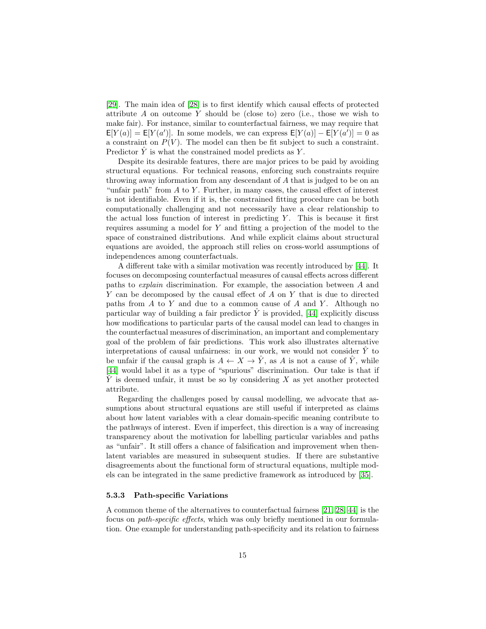[\[29\]](#page-19-6). The main idea of [\[28\]](#page-19-12) is to first identify which causal effects of protected attribute  $A$  on outcome  $Y$  should be (close to) zero (i.e., those we wish to make fair). For instance, similar to counterfactual fairness, we may require that  $E[Y(a)] = E[Y(a')]$ . In some models, we can express  $E[Y(a)] - E[Y(a')] = 0$  as a constraint on  $P(V)$ . The model can then be fit subject to such a constraint. Predictor  $\hat{Y}$  is what the constrained model predicts as Y.

Despite its desirable features, there are major prices to be paid by avoiding structural equations. For technical reasons, enforcing such constraints require throwing away information from any descendant of A that is judged to be on an "unfair path" from  $A$  to  $Y$ . Further, in many cases, the causal effect of interest is not identifiable. Even if it is, the constrained fitting procedure can be both computationally challenging and not necessarily have a clear relationship to the actual loss function of interest in predicting  $Y$ . This is because it first requires assuming a model for Y and fitting a projection of the model to the space of constrained distributions. And while explicit claims about structural equations are avoided, the approach still relies on cross-world assumptions of independences among counterfactuals.

A different take with a similar motivation was recently introduced by [\[44\]](#page-20-5). It focuses on decomposing counterfactual measures of causal effects across different paths to explain discrimination. For example, the association between A and Y can be decomposed by the causal effect of A on Y that is due to directed paths from  $A$  to  $Y$  and due to a common cause of  $A$  and  $Y$ . Although no particular way of building a fair predictor  $\hat{Y}$  is provided, [\[44\]](#page-20-5) explicitly discuss how modifications to particular parts of the causal model can lead to changes in the counterfactual measures of discrimination, an important and complementary goal of the problem of fair predictions. This work also illustrates alternative interpretations of causal unfairness: in our work, we would not consider  $\hat{Y}$  to be unfair if the causal graph is  $A \leftarrow X \rightarrow \hat{Y}$ , as A is not a cause of  $\hat{Y}$ , while [\[44\]](#page-20-5) would label it as a type of "spurious" discrimination. Our take is that if  $\overline{Y}$  is deemed unfair, it must be so by considering X as yet another protected attribute.

Regarding the challenges posed by causal modelling, we advocate that assumptions about structural equations are still useful if interpreted as claims about how latent variables with a clear domain-specific meaning contribute to the pathways of interest. Even if imperfect, this direction is a way of increasing transparency about the motivation for labelling particular variables and paths as "unfair". It still offers a chance of falsification and improvement when thenlatent variables are measured in subsequent studies. If there are substantive disagreements about the functional form of structural equations, multiple models can be integrated in the same predictive framework as introduced by [\[35\]](#page-20-4).

#### 5.3.3 Path-specific Variations

A common theme of the alternatives to counterfactual fairness [\[21,](#page-19-5) [28,](#page-19-12) [44\]](#page-20-5) is the focus on path-specific effects, which was only briefly mentioned in our formulation. One example for understanding path-specificity and its relation to fairness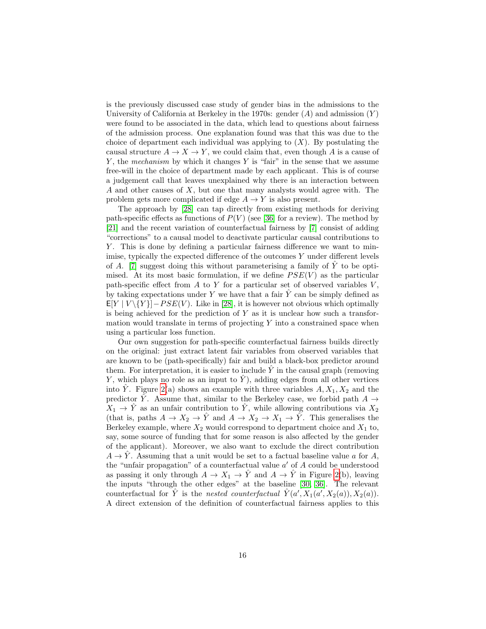is the previously discussed case study of gender bias in the admissions to the University of California at Berkeley in the 1970s: gender  $(A)$  and admission  $(Y)$ were found to be associated in the data, which lead to questions about fairness of the admission process. One explanation found was that this was due to the choice of department each individual was applying to  $(X)$ . By postulating the causal structure  $A \to X \to Y$ , we could claim that, even though A is a cause of Y, the mechanism by which it changes Y is "fair" in the sense that we assume free-will in the choice of department made by each applicant. This is of course a judgement call that leaves unexplained why there is an interaction between A and other causes of X, but one that many analysts would agree with. The problem gets more complicated if edge  $A \to Y$  is also present.

The approach by [\[28\]](#page-19-12) can tap directly from existing methods for deriving path-specific effects as functions of  $P(V)$  (see [\[36\]](#page-20-10) for a review). The method by [\[21\]](#page-19-5) and the recent variation of counterfactual fairness by [\[7\]](#page-18-9) consist of adding "corrections" to a causal model to deactivate particular causal contributions to Y . This is done by defining a particular fairness difference we want to minimise, typically the expected difference of the outcomes  $Y$  under different levels of A. [\[7\]](#page-18-9) suggest doing this without parameterising a family of Y to be optimised. At its most basic formulation, if we define  $PSE(V)$  as the particular path-specific effect from  $A$  to  $Y$  for a particular set of observed variables  $V$ , by taking expectations under Y we have that a fair  $\hat{Y}$  can be simply defined as  $E[Y | V\setminus\{Y\}]-PSE(V)$ . Like in [\[28\]](#page-19-12), it is however not obvious which optimally is being achieved for the prediction of  $Y$  as it is unclear how such a transformation would translate in terms of projecting  $Y$  into a constrained space when using a particular loss function.

Our own suggestion for path-specific counterfactual fairness builds directly on the original: just extract latent fair variables from observed variables that are known to be (path-specifically) fair and build a black-box predictor around them. For interpretation, it is easier to include  $\tilde{Y}$  in the causal graph (removing Y, which plays no role as an input to  $\hat{Y}$ ), adding edges from all other vertices into  $\hat{Y}$ . Figure [2\(](#page-16-0)a) shows an example with three variables  $A, X_1, X_2$  and the predictor  $\hat{Y}$ . Assume that, similar to the Berkeley case, we forbid path  $A \rightarrow$  $X_1 \rightarrow \hat{Y}$  as an unfair contribution to  $\hat{Y}$ , while allowing contributions via  $X_2$ (that is, paths  $A \to X_2 \to \hat{Y}$  and  $A \to X_2 \to X_1 \to \hat{Y}$ . This generalises the Berkeley example, where  $X_2$  would correspond to department choice and  $X_1$  to, say, some source of funding that for some reason is also affected by the gender of the applicant). Moreover, we also want to exclude the direct contribution  $A \rightarrow \hat{Y}$ . Assuming that a unit would be set to a factual baseline value a for A, the "unfair propagation" of a counterfactual value  $a'$  of  $A$  could be understood as passing it only through  $A \to X_1 \to \hat{Y}$  and  $A \to \hat{Y}$  in Figure [2\(](#page-16-0)b), leaving the inputs "through the other edges" at the baseline [\[30,](#page-19-13) [36\]](#page-20-10). The relevant counterfactual for  $\hat{Y}$  is the nested counterfactual  $\hat{Y}(a', X_1(a', X_2(a)), X_2(a))$ . A direct extension of the definition of counterfactual fairness applies to this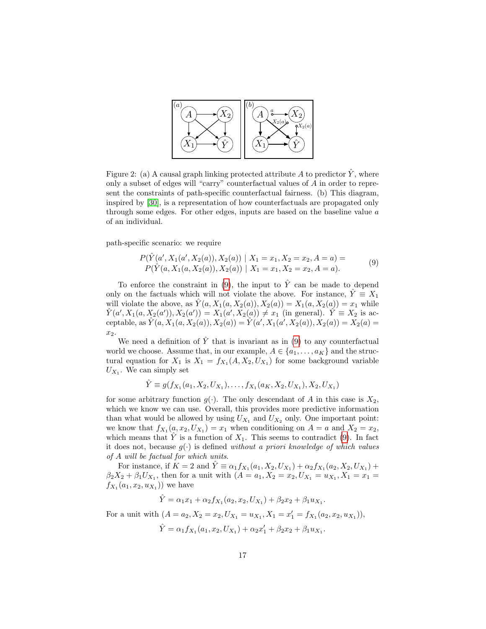

<span id="page-16-0"></span>Figure 2: (a) A causal graph linking protected attribute A to predictor  $\hat{Y}$ , where only a subset of edges will "carry" counterfactual values of A in order to represent the constraints of path-specific counterfactual fairness. (b) This diagram, inspired by [\[30\]](#page-19-13), is a representation of how counterfactuals are propagated only through some edges. For other edges, inputs are based on the baseline value a of an individual.

path-specific scenario: we require

<span id="page-16-1"></span>
$$
P(\hat{Y}(a', X_1(a', X_2(a)), X_2(a)) | X_1 = x_1, X_2 = x_2, A = a) =
$$
  
\n
$$
P(\hat{Y}(a, X_1(a, X_2(a)), X_2(a)) | X_1 = x_1, X_2 = x_2, A = a).
$$
\n(9)

To enforce the constraint in [\(9\)](#page-16-1), the input to  $\hat{Y}$  can be made to depend only on the factuals which will not violate the above. For instance,  $\hat{Y} \equiv X_1$ will violate the above, as  $\hat{Y}(a, X_1(a, X_2(a)), X_2(a)) = X_1(a, X_2(a)) = x_1$  while  $\hat{Y}(a', X_1(a, X_2(a')), X_2(a')) = X_1(a', X_2(a)) \neq x_1$  (in general).  $\hat{Y} \equiv X_2$  is acceptable, as  $\hat{Y}(a, X_1(a, X_2(a)), X_2(a)) = \hat{Y}(a', X_1(a', X_2(a)), X_2(a)) = X_2(a)$  $x_2$ .

We need a definition of  $\hat{Y}$  that is invariant as in [\(9\)](#page-16-1) to any counterfactual world we choose. Assume that, in our example,  $A \in \{a_1, \ldots, a_K\}$  and the structural equation for  $X_1$  is  $X_1 = f_{X_1}(A, X_2, U_{X_1})$  for some background variable  $U_{X_1}$ . We can simply set

 $\hat{Y} \equiv g(f_{X_1}(a_1, X_2, U_{X_1}), \ldots, f_{X_1}(a_K, X_2, U_{X_1}), X_2, U_{X_1})$ 

for some arbitrary function  $g(\cdot)$ . The only descendant of A in this case is  $X_2$ , which we know we can use. Overall, this provides more predictive information than what would be allowed by using  $U_{X_1}$  and  $U_{X_2}$  only. One important point: we know that  $f_{X_1}(a, x_2, U_{X_1}) = x_1$  when conditioning on  $A = a$  and  $X_2 = x_2$ , which means that  $\tilde{Y}$  is a function of  $X_1$ . This seems to contradict [\(9\)](#page-16-1). In fact it does not, because  $g(\cdot)$  is defined without a priori knowledge of which values of A will be factual for which units.

For instance, if  $K = 2$  and  $\hat{Y} \equiv \alpha_1 f_{X_1}(a_1, X_2, U_{X_1}) + \alpha_2 f_{X_1}(a_2, X_2, U_{X_1}) +$  $\beta_2 X_2 + \beta_1 U_{X_1}$ , then for a unit with  $(A = a_1, X_2 = x_2, U_{X_1} = u_{X_1}, X_1 = x_1 =$  $f_{X_1}(a_1, x_2, u_{X_1})$  we have

$$
\hat{Y} = \alpha_1 x_1 + \alpha_2 f_{X_1}(a_2, x_2, U_{X_1}) + \beta_2 x_2 + \beta_1 u_{X_1}.
$$

For a unit with  $(A = a_2, X_2 = x_2, U_{X_1} = u_{X_1}, X_1 = x_1' = f_{X_1}(a_2, x_2, u_{X_1})),$ 

$$
\hat{Y} = \alpha_1 f_{X_1}(a_1, x_2, U_{X_1}) + \alpha_2 x'_1 + \beta_2 x_2 + \beta_1 u_{X_1}.
$$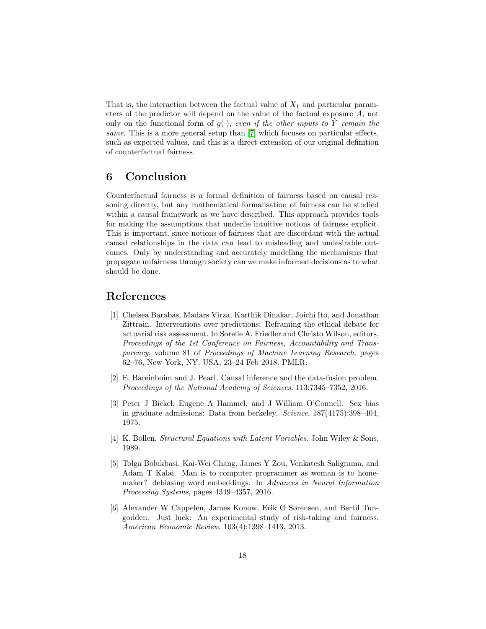That is, the interaction between the factual value of  $X_1$  and particular parameters of the predictor will depend on the value of the factual exposure A, not only on the functional form of  $g(\cdot)$ , even if the other inputs to  $\hat{Y}$  remain the same. This is a more general setup than [\[7\]](#page-18-9) which focuses on particular effects, such as expected values, and this is a direct extension of our original definition of counterfactual fairness.

## 6 Conclusion

Counterfactual fairness is a formal definition of fairness based on causal reasoning directly, but any mathematical formalisation of fairness can be studied within a causal framework as we have described. This approach provides tools for making the assumptions that underlie intuitive notions of fairness explicit. This is important, since notions of fairness that are discordant with the actual causal relationships in the data can lead to misleading and undesirable outcomes. Only by understanding and accurately modelling the mechanisms that propagate unfairness through society can we make informed decisions as to what should be done.

## References

- <span id="page-17-1"></span>[1] Chelsea Barabas, Madars Virza, Karthik Dinakar, Joichi Ito, and Jonathan Zittrain. Interventions over predictions: Reframing the ethical debate for actuarial risk assessment. In Sorelle A. Friedler and Christo Wilson, editors, Proceedings of the 1st Conference on Fairness, Accountability and Transparency, volume 81 of Proceedings of Machine Learning Research, pages 62–76, New York, NY, USA, 23–24 Feb 2018. PMLR.
- <span id="page-17-5"></span>[2] E. Bareinboim and J. Pearl. Causal inference and the data-fusion problem. Proceedings of the National Academy of Sciences, 113:7345–7352, 2016.
- <span id="page-17-4"></span>[3] Peter J Bickel, Eugene A Hammel, and J William O'Connell. Sex bias in graduate admissions: Data from berkeley. Science, 187(4175):398–404, 1975.
- <span id="page-17-2"></span>[4] K. Bollen. Structural Equations with Latent Variables. John Wiley & Sons, 1989.
- <span id="page-17-0"></span>[5] Tolga Bolukbasi, Kai-Wei Chang, James Y Zou, Venkatesh Saligrama, and Adam T Kalai. Man is to computer programmer as woman is to homemaker? debiasing word embeddings. In Advances in Neural Information Processing Systems, pages 4349–4357, 2016.
- <span id="page-17-3"></span>[6] Alexander W Cappelen, James Konow, Erik Ø Sørensen, and Bertil Tungodden. Just luck: An experimental study of risk-taking and fairness. American Economic Review, 103(4):1398–1413, 2013.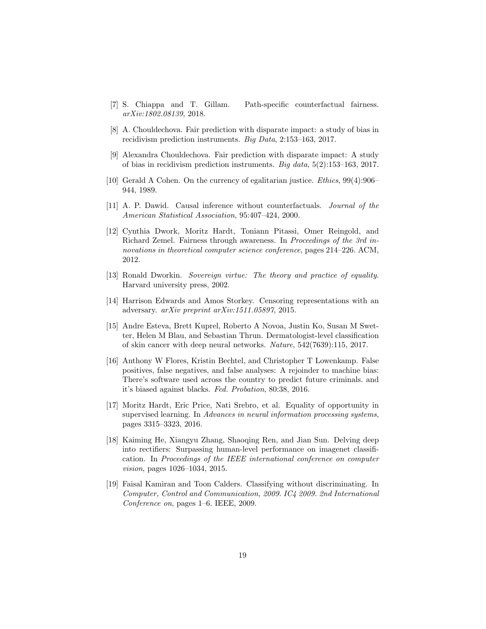- <span id="page-18-9"></span>[7] S. Chiappa and T. Gillam. Path-specific counterfactual fairness. arXiv:1802.08139, 2018.
- <span id="page-18-5"></span>[8] A. Chouldechova. Fair prediction with disparate impact: a study of bias in recidivism prediction instruments. Big Data, 2:153–163, 2017.
- <span id="page-18-3"></span>[9] Alexandra Chouldechova. Fair prediction with disparate impact: A study of bias in recidivism prediction instruments. Big data, 5(2):153–163, 2017.
- <span id="page-18-10"></span>[10] Gerald A Cohen. On the currency of egalitarian justice. Ethics, 99(4):906– 944, 1989.
- <span id="page-18-12"></span>[11] A. P. Dawid. Causal inference without counterfactuals. Journal of the American Statistical Association, 95:407–424, 2000.
- <span id="page-18-8"></span>[12] Cynthia Dwork, Moritz Hardt, Toniann Pitassi, Omer Reingold, and Richard Zemel. Fairness through awareness. In Proceedings of the 3rd innovations in theoretical computer science conference, pages 214–226. ACM, 2012.
- <span id="page-18-11"></span>[13] Ronald Dworkin. Sovereign virtue: The theory and practice of equality. Harvard university press, 2002.
- <span id="page-18-6"></span>[14] Harrison Edwards and Amos Storkey. Censoring representations with an adversary. arXiv preprint arXiv:1511.05897, 2015.
- <span id="page-18-1"></span>[15] Andre Esteva, Brett Kuprel, Roberto A Novoa, Justin Ko, Susan M Swetter, Helen M Blau, and Sebastian Thrun. Dermatologist-level classification of skin cancer with deep neural networks. Nature, 542(7639):115, 2017.
- <span id="page-18-4"></span>[16] Anthony W Flores, Kristin Bechtel, and Christopher T Lowenkamp. False positives, false negatives, and false analyses: A rejoinder to machine bias: There's software used across the country to predict future criminals. and it's biased against blacks. Fed. Probation, 80:38, 2016.
- <span id="page-18-2"></span>[17] Moritz Hardt, Eric Price, Nati Srebro, et al. Equality of opportunity in supervised learning. In Advances in neural information processing systems, pages 3315–3323, 2016.
- <span id="page-18-0"></span>[18] Kaiming He, Xiangyu Zhang, Shaoqing Ren, and Jian Sun. Delving deep into rectifiers: Surpassing human-level performance on imagenet classification. In Proceedings of the IEEE international conference on computer vision, pages 1026–1034, 2015.
- <span id="page-18-7"></span>[19] Faisal Kamiran and Toon Calders. Classifying without discriminating. In Computer, Control and Communication, 2009. IC4 2009. 2nd International Conference on, pages 1–6. IEEE, 2009.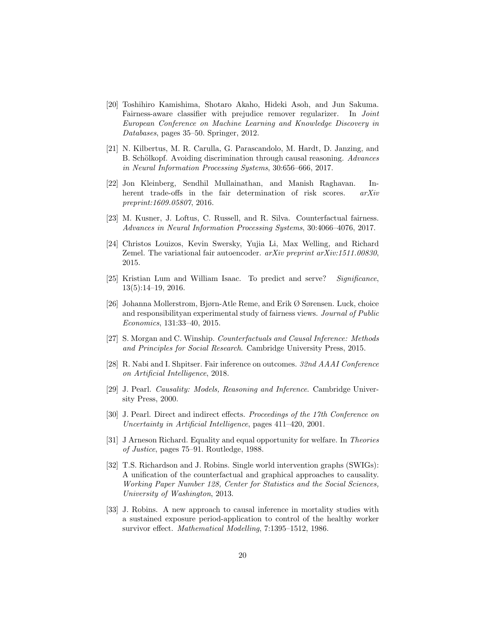- <span id="page-19-3"></span>[20] Toshihiro Kamishima, Shotaro Akaho, Hideki Asoh, and Jun Sakuma. Fairness-aware classifier with prejudice remover regularizer. In Joint European Conference on Machine Learning and Knowledge Discovery in Databases, pages 35–50. Springer, 2012.
- <span id="page-19-5"></span>[21] N. Kilbertus, M. R. Carulla, G. Parascandolo, M. Hardt, D. Janzing, and B. Schölkopf. Avoiding discrimination through causal reasoning. Advances in Neural Information Processing Systems, 30:656–666, 2017.
- <span id="page-19-1"></span>[22] Jon Kleinberg, Sendhil Mullainathan, and Manish Raghavan. Inherent trade-offs in the fair determination of risk scores. arXiv preprint:1609.05807, 2016.
- <span id="page-19-2"></span>[23] M. Kusner, J. Loftus, C. Russell, and R. Silva. Counterfactual fairness. Advances in Neural Information Processing Systems, 30:4066–4076, 2017.
- <span id="page-19-4"></span>[24] Christos Louizos, Kevin Swersky, Yujia Li, Max Welling, and Richard Zemel. The variational fair autoencoder.  $arXiv$  preprint  $arXiv:1511.00830$ , 2015.
- <span id="page-19-0"></span>[25] Kristian Lum and William Isaac. To predict and serve? Significance, 13(5):14–19, 2016.
- <span id="page-19-10"></span>[26] Johanna Mollerstrom, Bjørn-Atle Reme, and Erik Ø Sørensen. Luck, choice and responsibilityan experimental study of fairness views. Journal of Public Economics, 131:33–40, 2015.
- <span id="page-19-11"></span>[27] S. Morgan and C. Winship. Counterfactuals and Causal Inference: Methods and Principles for Social Research. Cambridge University Press, 2015.
- <span id="page-19-12"></span>[28] R. Nabi and I. Shpitser. Fair inference on outcomes. 32nd AAAI Conference on Artificial Intelligence, 2018.
- <span id="page-19-6"></span>[29] J. Pearl. Causality: Models, Reasoning and Inference. Cambridge University Press, 2000.
- <span id="page-19-13"></span>[30] J. Pearl. Direct and indirect effects. Proceedings of the 17th Conference on Uncertainty in Artificial Intelligence, pages 411–420, 2001.
- <span id="page-19-9"></span>[31] J Arneson Richard. Equality and equal opportunity for welfare. In Theories of Justice, pages 75–91. Routledge, 1988.
- <span id="page-19-8"></span>[32] T.S. Richardson and J. Robins. Single world intervention graphs (SWIGs): A unification of the counterfactual and graphical approaches to causality. Working Paper Number 128, Center for Statistics and the Social Sciences, University of Washington, 2013.
- <span id="page-19-7"></span>[33] J. Robins. A new approach to causal inference in mortality studies with a sustained exposure period-application to control of the healthy worker survivor effect. Mathematical Modelling, 7:1395–1512, 1986.